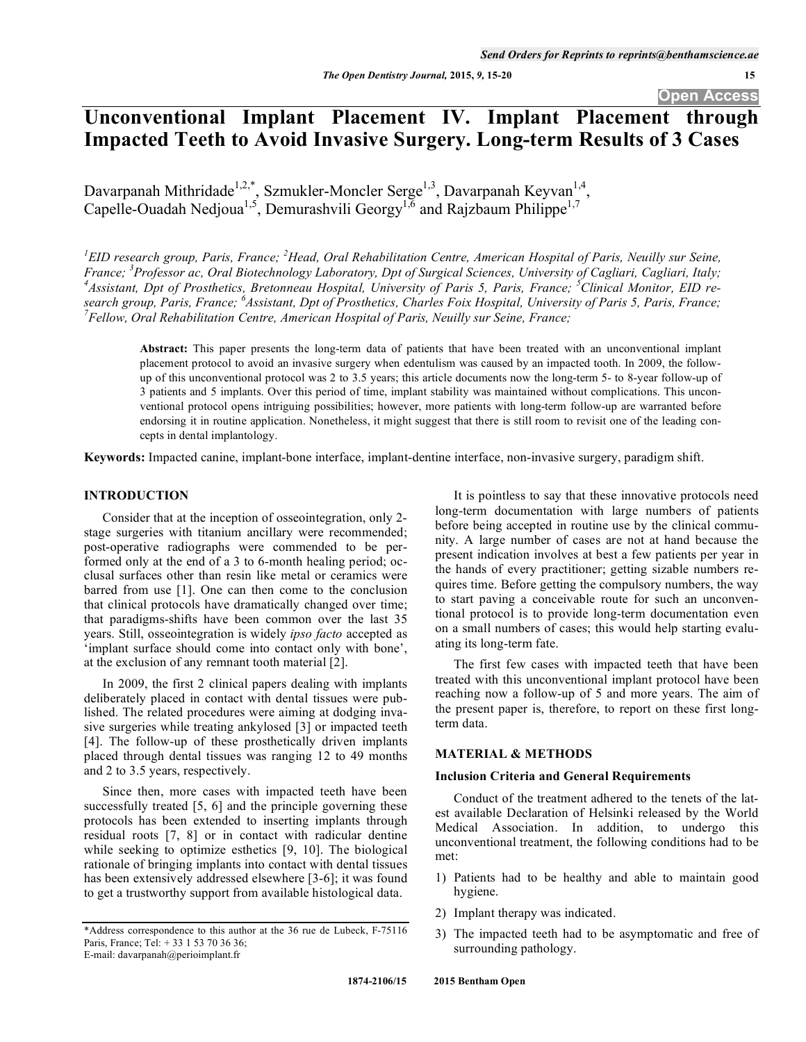# **Unconventional Implant Placement IV. Implant Placement through Impacted Teeth to Avoid Invasive Surgery. Long-term Results of 3 Cases**

Davarpanah Mithridade<sup>1,2,\*</sup>, Szmukler-Moncler Serge<sup>1,3</sup>, Davarpanah Keyvan<sup>1,4</sup>, Capelle-Ouadah Nedjoua<sup>1,5</sup>, Demurashvili Georgy<sup>1,6</sup> and Rajzbaum Philippe<sup>1,7</sup>

<sup>1</sup> EID research group, Paris, France; <sup>2</sup> Head, Oral Rehabilitation Centre, American Hospital of Paris, Neuilly sur Seine, *France; <sup>3</sup>Professor ac, Oral Biotechnology Laboratory, Dpt of Surgical Sciences, University of Cagliari, Cagliari, Italy; 4*<br><sup>4</sup> Assistant, Dpt of Brosthatiss, Bratonnesy Hospital, University of Baris, Baris, France; <sup>5</sup> *Assistant, Dpt of Prosthetics, Bretonneau Hospital, University of Paris 5, Paris, France; <sup>5</sup> Clinical Monitor, EID research group, Paris, France; <sup>6</sup>Assistant, Dpt of Prosthetics, Charles Foix Hospital, University of Paris 5, Paris, France; <sup>7</sup> Fellow, Qual Bakabilitation Cantue, American Hospital of Baris, Navilly any Saine, France; <i>7 Fellow, Oral Rehabilitation Centre, American Hospital of Paris, Neuilly sur Seine, France;* 

**Abstract:** This paper presents the long-term data of patients that have been treated with an unconventional implant placement protocol to avoid an invasive surgery when edentulism was caused by an impacted tooth. In 2009, the followup of this unconventional protocol was 2 to 3.5 years; this article documents now the long-term 5- to 8-year follow-up of 3 patients and 5 implants. Over this period of time, implant stability was maintained without complications. This unconventional protocol opens intriguing possibilities; however, more patients with long-term follow-up are warranted before endorsing it in routine application. Nonetheless, it might suggest that there is still room to revisit one of the leading concepts in dental implantology.

**Keywords:** Impacted canine, implant-bone interface, implant-dentine interface, non-invasive surgery, paradigm shift.

### **INTRODUCTION**

Consider that at the inception of osseointegration, only 2 stage surgeries with titanium ancillary were recommended; post-operative radiographs were commended to be performed only at the end of a 3 to 6-month healing period; occlusal surfaces other than resin like metal or ceramics were barred from use [1]. One can then come to the conclusion that clinical protocols have dramatically changed over time; that paradigms-shifts have been common over the last 35 years. Still, osseointegration is widely *ipso facto* accepted as 'implant surface should come into contact only with bone', at the exclusion of any remnant tooth material [2].

In 2009, the first 2 clinical papers dealing with implants deliberately placed in contact with dental tissues were published. The related procedures were aiming at dodging invasive surgeries while treating ankylosed [3] or impacted teeth [4]. The follow-up of these prosthetically driven implants placed through dental tissues was ranging 12 to 49 months and 2 to 3.5 years, respectively.

Since then, more cases with impacted teeth have been successfully treated [5, 6] and the principle governing these protocols has been extended to inserting implants through residual roots [7, 8] or in contact with radicular dentine while seeking to optimize esthetics [9, 10]. The biological rationale of bringing implants into contact with dental tissues has been extensively addressed elsewhere [3-6]; it was found to get a trustworthy support from available histological data.

\*Address correspondence to this author at the 36 rue de Lubeck, F-75116 Paris, France; Tel: + 33 1 53 70 36 36; E-mail: davarpanah@perioimplant.fr

long-term documentation with large numbers of patients before being accepted in routine use by the clinical community. A large number of cases are not at hand because the present indication involves at best a few patients per year in the hands of every practitioner; getting sizable numbers requires time. Before getting the compulsory numbers, the way to start paving a conceivable route for such an unconventional protocol is to provide long-term documentation even on a small numbers of cases; this would help starting evaluating its long-term fate.

It is pointless to say that these innovative protocols need

The first few cases with impacted teeth that have been treated with this unconventional implant protocol have been reaching now a follow-up of 5 and more years. The aim of the present paper is, therefore, to report on these first longterm data.

### **MATERIAL & METHODS**

#### **Inclusion Criteria and General Requirements**

Conduct of the treatment adhered to the tenets of the latest available Declaration of Helsinki released by the World Medical Association. In addition, to undergo this unconventional treatment, the following conditions had to be met:

- 1) Patients had to be healthy and able to maintain good hygiene.
- 2) Implant therapy was indicated.
- 3) The impacted teeth had to be asymptomatic and free of surrounding pathology.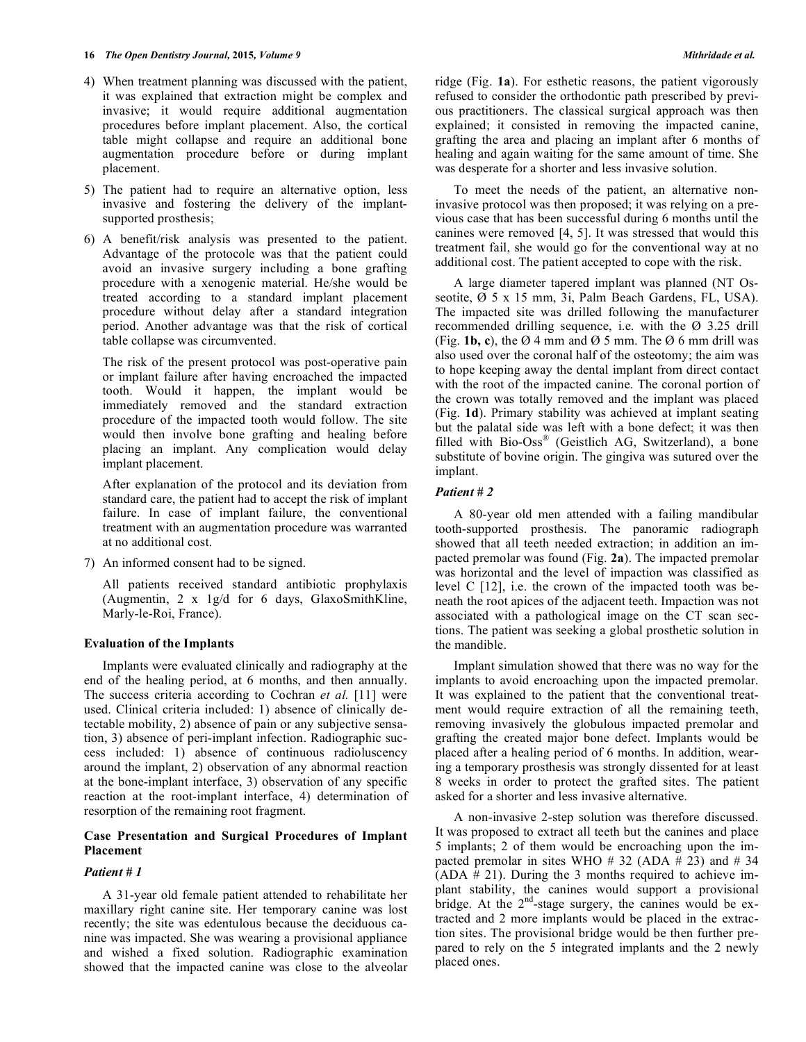#### **16** *The Open Dentistry Journal,* **2015***, Volume 9 Mithridade et al.*

- 4) When treatment planning was discussed with the patient, it was explained that extraction might be complex and invasive; it would require additional augmentation procedures before implant placement. Also, the cortical table might collapse and require an additional bone augmentation procedure before or during implant placement.
- 5) The patient had to require an alternative option, less invasive and fostering the delivery of the implantsupported prosthesis;
- 6) A benefit/risk analysis was presented to the patient. Advantage of the protocole was that the patient could avoid an invasive surgery including a bone grafting procedure with a xenogenic material. He/she would be treated according to a standard implant placement procedure without delay after a standard integration period. Another advantage was that the risk of cortical table collapse was circumvented.

 The risk of the present protocol was post-operative pain or implant failure after having encroached the impacted tooth. Would it happen, the implant would be immediately removed and the standard extraction procedure of the impacted tooth would follow. The site would then involve bone grafting and healing before placing an implant. Any complication would delay implant placement.

 After explanation of the protocol and its deviation from standard care, the patient had to accept the risk of implant failure. In case of implant failure, the conventional treatment with an augmentation procedure was warranted at no additional cost.

7) An informed consent had to be signed.

 All patients received standard antibiotic prophylaxis (Augmentin, 2 x 1g/d for 6 days, GlaxoSmithKline, Marly-le-Roi, France).

### **Evaluation of the Implants**

Implants were evaluated clinically and radiography at the end of the healing period, at 6 months, and then annually. The success criteria according to Cochran *et al.* [11] were used. Clinical criteria included: 1) absence of clinically detectable mobility, 2) absence of pain or any subjective sensation, 3) absence of peri-implant infection. Radiographic success included: 1) absence of continuous radioluscency around the implant, 2) observation of any abnormal reaction at the bone-implant interface, 3) observation of any specific reaction at the root-implant interface, 4) determination of resorption of the remaining root fragment.

### **Case Presentation and Surgical Procedures of Implant Placement**

### *Patient # 1*

A 31-year old female patient attended to rehabilitate her maxillary right canine site. Her temporary canine was lost recently; the site was edentulous because the deciduous canine was impacted. She was wearing a provisional appliance and wished a fixed solution. Radiographic examination showed that the impacted canine was close to the alveolar ridge (Fig. **1a**). For esthetic reasons, the patient vigorously refused to consider the orthodontic path prescribed by previous practitioners. The classical surgical approach was then explained; it consisted in removing the impacted canine, grafting the area and placing an implant after 6 months of healing and again waiting for the same amount of time. She was desperate for a shorter and less invasive solution.

To meet the needs of the patient, an alternative noninvasive protocol was then proposed; it was relying on a previous case that has been successful during 6 months until the canines were removed [4, 5]. It was stressed that would this treatment fail, she would go for the conventional way at no additional cost. The patient accepted to cope with the risk.

A large diameter tapered implant was planned (NT Osseotite, Ø 5 x 15 mm, 3i, Palm Beach Gardens, FL, USA). The impacted site was drilled following the manufacturer recommended drilling sequence, i.e. with the Ø 3.25 drill (Fig. **1b, c**), the  $\varnothing$  4 mm and  $\varnothing$  5 mm. The  $\varnothing$  6 mm drill was also used over the coronal half of the osteotomy; the aim was to hope keeping away the dental implant from direct contact with the root of the impacted canine. The coronal portion of the crown was totally removed and the implant was placed (Fig. **1d**). Primary stability was achieved at implant seating but the palatal side was left with a bone defect; it was then filled with Bio-Oss® (Geistlich AG, Switzerland), a bone substitute of bovine origin. The gingiva was sutured over the implant.

### *Patient # 2*

A 80-year old men attended with a failing mandibular tooth-supported prosthesis. The panoramic radiograph showed that all teeth needed extraction; in addition an impacted premolar was found (Fig. **2a**). The impacted premolar was horizontal and the level of impaction was classified as level C [12], i.e. the crown of the impacted tooth was beneath the root apices of the adjacent teeth. Impaction was not associated with a pathological image on the CT scan sections. The patient was seeking a global prosthetic solution in the mandible.

Implant simulation showed that there was no way for the implants to avoid encroaching upon the impacted premolar. It was explained to the patient that the conventional treatment would require extraction of all the remaining teeth, removing invasively the globulous impacted premolar and grafting the created major bone defect. Implants would be placed after a healing period of 6 months. In addition, wearing a temporary prosthesis was strongly dissented for at least 8 weeks in order to protect the grafted sites. The patient asked for a shorter and less invasive alternative.

A non-invasive 2-step solution was therefore discussed. It was proposed to extract all teeth but the canines and place 5 implants; 2 of them would be encroaching upon the impacted premolar in sites WHO # 32 (ADA  $\overline{#}$  23) and # 34  $(ADA # 21)$ . During the 3 months required to achieve implant stability, the canines would support a provisional bridge. At the 2<sup>nd</sup>-stage surgery, the canines would be extracted and 2 more implants would be placed in the extraction sites. The provisional bridge would be then further prepared to rely on the 5 integrated implants and the 2 newly placed ones.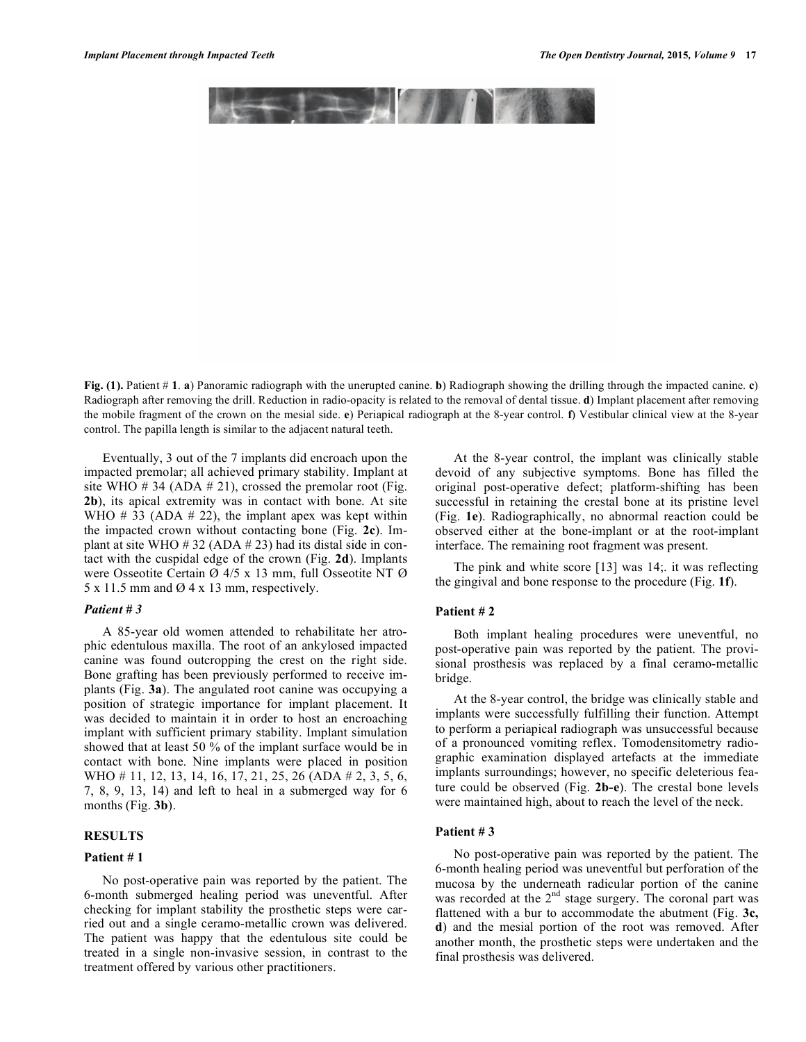**Fig. (1).** Patient # **1**. **a**) Panoramic radiograph with the unerupted canine. **b**) Radiograph showing the drilling through the impacted canine. **c**) Radiograph after removing the drill. Reduction in radio-opacity is related to the removal of dental tissue. **d**) Implant placement after removing the mobile fragment of the crown on the mesial side. **e**) Periapical radiograph at the 8-year control. **f**) Vestibular clinical view at the 8-year control. The papilla length is similar to the adjacent natural teeth.

Eventually, 3 out of the 7 implants did encroach upon the impacted premolar; all achieved primary stability. Implant at site WHO  $\#$  34 (ADA  $\#$  21), crossed the premolar root (Fig. **2b**), its apical extremity was in contact with bone. At site WHO  $\#$  33 (ADA  $\#$  22), the implant apex was kept within the impacted crown without contacting bone (Fig. **2c**). Implant at site WHO  $\#$  32 (ADA  $\#$  23) had its distal side in contact with the cuspidal edge of the crown (Fig. **2d**). Implants were Osseotite Certain Ø 4/5 x 13 mm, full Osseotite NT Ø  $5 \times 11.5$  mm and  $\varnothing$  4 x 13 mm, respectively.

### *Patient # 3*

A 85-year old women attended to rehabilitate her atrophic edentulous maxilla. The root of an ankylosed impacted canine was found outcropping the crest on the right side. Bone grafting has been previously performed to receive implants (Fig. **3a**). The angulated root canine was occupying a position of strategic importance for implant placement. It was decided to maintain it in order to host an encroaching implant with sufficient primary stability. Implant simulation showed that at least 50 % of the implant surface would be in contact with bone. Nine implants were placed in position WHO # 11, 12, 13, 14, 16, 17, 21, 25, 26 (ADA # 2, 3, 5, 6, 7, 8, 9, 13, 14) and left to heal in a submerged way for 6 months (Fig. **3b**).

# **RESULTS**

#### **Patient # 1**

No post-operative pain was reported by the patient. The 6-month submerged healing period was uneventful. After checking for implant stability the prosthetic steps were carried out and a single ceramo-metallic crown was delivered. The patient was happy that the edentulous site could be treated in a single non-invasive session, in contrast to the treatment offered by various other practitioners.

At the 8-year control, the implant was clinically stable devoid of any subjective symptoms. Bone has filled the original post-operative defect; platform-shifting has been successful in retaining the crestal bone at its pristine level (Fig. **1e**). Radiographically, no abnormal reaction could be observed either at the bone-implant or at the root-implant interface. The remaining root fragment was present.

The pink and white score [13] was 14;. it was reflecting the gingival and bone response to the procedure (Fig. **1f**).

### **Patient # 2**

Both implant healing procedures were uneventful, no post-operative pain was reported by the patient. The provisional prosthesis was replaced by a final ceramo-metallic bridge.

At the 8-year control, the bridge was clinically stable and implants were successfully fulfilling their function. Attempt to perform a periapical radiograph was unsuccessful because of a pronounced vomiting reflex. Tomodensitometry radiographic examination displayed artefacts at the immediate implants surroundings; however, no specific deleterious feature could be observed (Fig. **2b-e**). The crestal bone levels were maintained high, about to reach the level of the neck.

## **Patient # 3**

No post-operative pain was reported by the patient. The 6-month healing period was uneventful but perforation of the mucosa by the underneath radicular portion of the canine was recorded at the  $2<sup>nd</sup>$  stage surgery. The coronal part was flattened with a bur to accommodate the abutment (Fig. **3c, d**) and the mesial portion of the root was removed. After another month, the prosthetic steps were undertaken and the final prosthesis was delivered.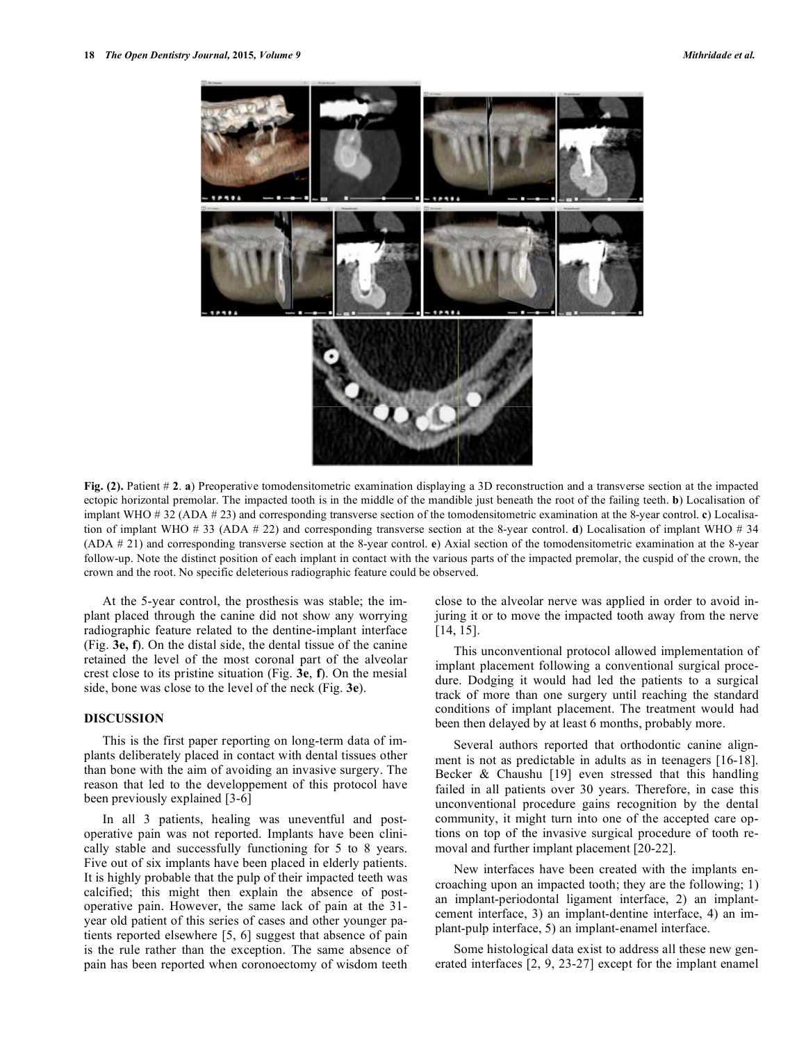

**Fig. (2).** Patient # **2**. **a**) Preoperative tomodensitometric examination displaying a 3D reconstruction and a transverse section at the impacted ectopic horizontal premolar. The impacted tooth is in the middle of the mandible just beneath the root of the failing teeth. **b**) Localisation of implant WHO # 32 (ADA # 23) and corresponding transverse section of the tomodensitometric examination at the 8-year control. **c**) Localisation of implant WHO # 33 (ADA # 22) and corresponding transverse section at the 8-year control. **d**) Localisation of implant WHO # 34 (ADA # 21) and corresponding transverse section at the 8-year control. **e**) Axial section of the tomodensitometric examination at the 8-year follow-up. Note the distinct position of each implant in contact with the various parts of the impacted premolar, the cuspid of the crown, the crown and the root. No specific deleterious radiographic feature could be observed.

At the 5-year control, the prosthesis was stable; the implant placed through the canine did not show any worrying radiographic feature related to the dentine-implant interface (Fig. **3e, f**). On the distal side, the dental tissue of the canine retained the level of the most coronal part of the alveolar crest close to its pristine situation (Fig. **3e**, **f**). On the mesial side, bone was close to the level of the neck (Fig. **3e**).

### **DISCUSSION**

This is the first paper reporting on long-term data of implants deliberately placed in contact with dental tissues other than bone with the aim of avoiding an invasive surgery. The reason that led to the developpement of this protocol have been previously explained [3-6]

In all 3 patients, healing was uneventful and postoperative pain was not reported. Implants have been clinically stable and successfully functioning for 5 to 8 years. Five out of six implants have been placed in elderly patients. It is highly probable that the pulp of their impacted teeth was calcified; this might then explain the absence of postoperative pain. However, the same lack of pain at the 31 year old patient of this series of cases and other younger patients reported elsewhere [5, 6] suggest that absence of pain is the rule rather than the exception. The same absence of pain has been reported when coronoectomy of wisdom teeth

close to the alveolar nerve was applied in order to avoid injuring it or to move the impacted tooth away from the nerve [14, 15].

This unconventional protocol allowed implementation of implant placement following a conventional surgical procedure. Dodging it would had led the patients to a surgical track of more than one surgery until reaching the standard conditions of implant placement. The treatment would had been then delayed by at least 6 months, probably more.

Several authors reported that orthodontic canine alignment is not as predictable in adults as in teenagers [16-18]. Becker & Chaushu [19] even stressed that this handling failed in all patients over 30 years. Therefore, in case this unconventional procedure gains recognition by the dental community, it might turn into one of the accepted care options on top of the invasive surgical procedure of tooth removal and further implant placement [20-22].

New interfaces have been created with the implants encroaching upon an impacted tooth; they are the following; 1) an implant-periodontal ligament interface, 2) an implantcement interface, 3) an implant-dentine interface, 4) an implant-pulp interface, 5) an implant-enamel interface.

Some histological data exist to address all these new generated interfaces [2, 9, 23-27] except for the implant enamel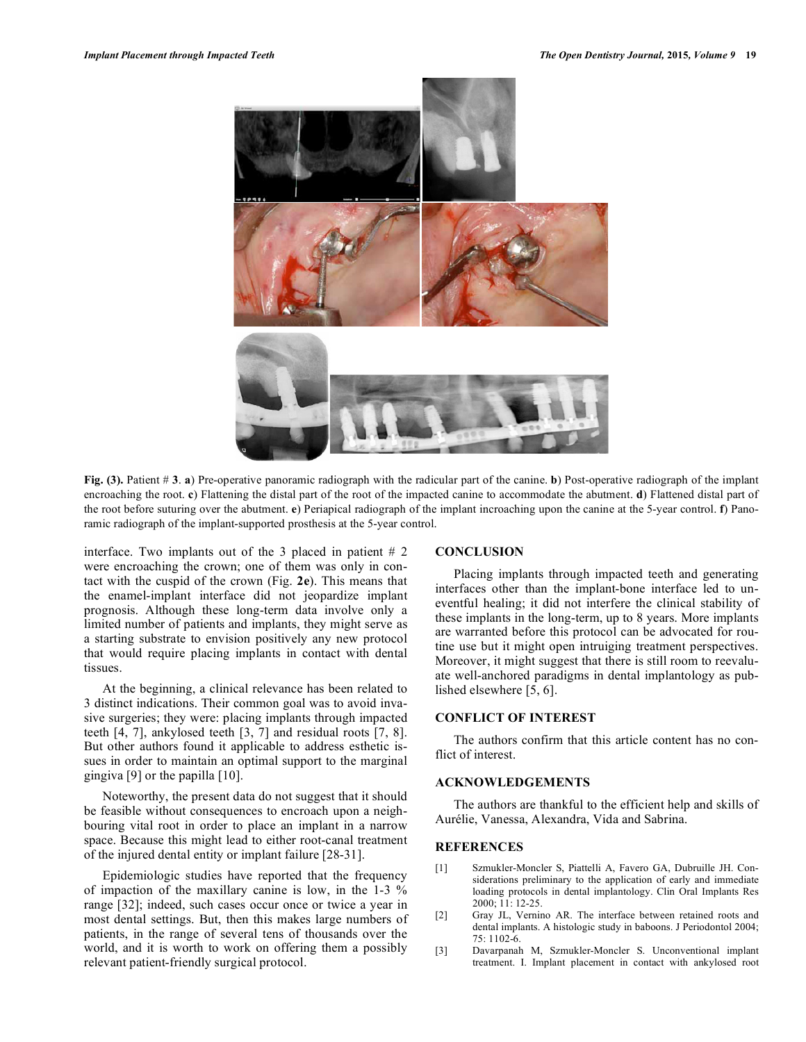

**Fig. (3).** Patient # **3**. **a**) Pre-operative panoramic radiograph with the radicular part of the canine. **b**) Post-operative radiograph of the implant encroaching the root. **c**) Flattening the distal part of the root of the impacted canine to accommodate the abutment. **d**) Flattened distal part of the root before suturing over the abutment. **e**) Periapical radiograph of the implant incroaching upon the canine at the 5-year control. **f**) Panoramic radiograph of the implant-supported prosthesis at the 5-year control.

interface. Two implants out of the 3 placed in patient  $# 2$ were encroaching the crown; one of them was only in contact with the cuspid of the crown (Fig. **2e**). This means that the enamel-implant interface did not jeopardize implant prognosis. Although these long-term data involve only a limited number of patients and implants, they might serve as a starting substrate to envision positively any new protocol that would require placing implants in contact with dental tissues.

At the beginning, a clinical relevance has been related to 3 distinct indications. Their common goal was to avoid invasive surgeries; they were: placing implants through impacted teeth [4, 7], ankylosed teeth [3, 7] and residual roots [7, 8]. But other authors found it applicable to address esthetic issues in order to maintain an optimal support to the marginal gingiva [9] or the papilla [10].

Noteworthy, the present data do not suggest that it should be feasible without consequences to encroach upon a neighbouring vital root in order to place an implant in a narrow space. Because this might lead to either root-canal treatment of the injured dental entity or implant failure [28-31].

Epidemiologic studies have reported that the frequency of impaction of the maxillary canine is low, in the 1-3 % range [32]; indeed, such cases occur once or twice a year in most dental settings. But, then this makes large numbers of patients, in the range of several tens of thousands over the world, and it is worth to work on offering them a possibly relevant patient-friendly surgical protocol.

#### **CONCLUSION**

Placing implants through impacted teeth and generating interfaces other than the implant-bone interface led to uneventful healing; it did not interfere the clinical stability of these implants in the long-term, up to 8 years. More implants are warranted before this protocol can be advocated for routine use but it might open intruiging treatment perspectives. Moreover, it might suggest that there is still room to reevaluate well-anchored paradigms in dental implantology as published elsewhere [5, 6].

# **CONFLICT OF INTEREST**

The authors confirm that this article content has no conflict of interest.

# **ACKNOWLEDGEMENTS**

The authors are thankful to the efficient help and skills of Aurélie, Vanessa, Alexandra, Vida and Sabrina.

### **REFERENCES**

- [1] Szmukler-Moncler S, Piattelli A, Favero GA, Dubruille JH. Considerations preliminary to the application of early and immediate loading protocols in dental implantology. Clin Oral Implants Res 2000; 11: 12-25.
- [2] Gray JL, Vernino AR. The interface between retained roots and dental implants. A histologic study in baboons. J Periodontol 2004;  $75 \cdot 1102 - 6$
- [3] Davarpanah M, Szmukler-Moncler S. Unconventional implant treatment. I. Implant placement in contact with ankylosed root